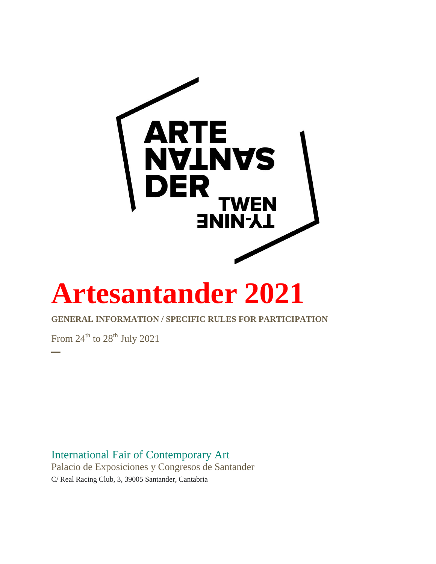

# **Artesantander 2021**

## **GENERAL INFORMATION / SPECIFIC RULES FOR PARTICIPATION**

From  $24^{\text{th}}$  to  $28^{\text{th}}$  July 2021

**─**

International Fair of Contemporary Art Palacio de Exposiciones y Congresos de Santander C/ Real Racing Club, 3, 39005 Santander, Cantabria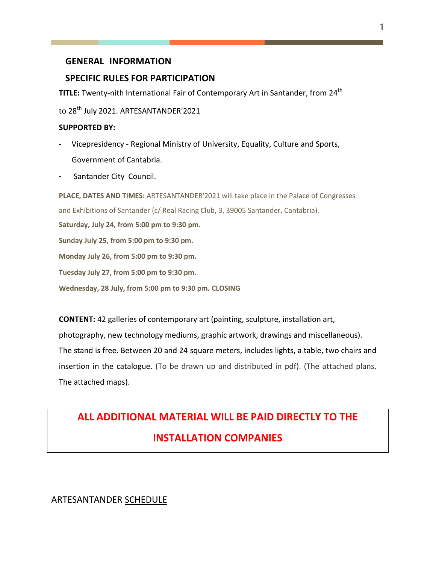## **GENERAL INFORMATION**

## **SPECIFIC RULES FOR PARTICIPATION**

**TITLE:** Twenty-nith International Fair of Contemporary Art in Santander, from 24<sup>th</sup>

to 28<sup>th</sup> July 2021. ARTESANTANDER'2021

#### **SUPPORTED BY:**

- **-** Vicepresidency Regional Ministry of University, Equality, Culture and Sports, Government of Cantabria.
- **-** Santander City Council.

**PLACE, DATES AND TIMES:** ARTESANTANDER'2021 will take place in the Palace of Congresses and Exhibitions of Santander (c/ Real Racing Club, 3, 39005 Santander, Cantabria). **Saturday, July 24, from 5:00 pm to 9:30 pm. Sunday July 25, from 5:00 pm to 9:30 pm.**

**Monday July 26, from 5:00 pm to 9:30 pm.**

**Tuesday July 27, from 5:00 pm to 9:30 pm.**

**Wednesday, 28 July, from 5:00 pm to 9:30 pm. CLOSING**

**CONTENT:** 42 galleries of contemporary art (painting, sculpture, installation art, photography, new technology mediums, graphic artwork, drawings and miscellaneous). The stand is free. Between 20 and 24 square meters, includes lights, a table, two chairs and insertion in the catalogue. (To be drawn up and distributed in pdf). (The attached plans. The attached maps).

## **ALL ADDITIONAL MATERIAL WILL BE PAID DIRECTLY TO THE INSTALLATION COMPANIES**

ARTESANTANDER SCHEDULE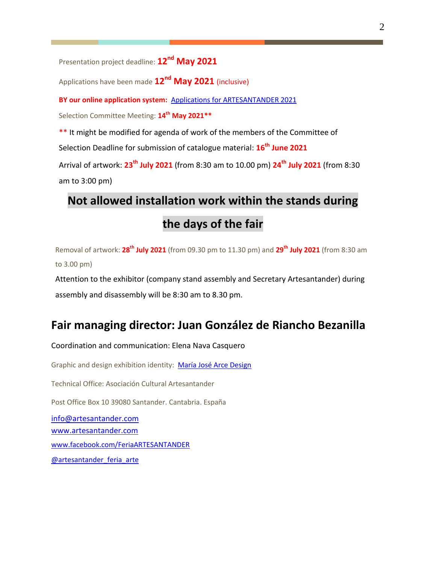Presentation project deadline: **12 nd May 2021**

Applications have been made **12nd May 2021** (inclusive)

**BY our online application system:** [Applications for ARTESANTANDER](https://fairs.itgalleryapp.com/en_EN/artesantander) 2021

Selection Committee Meeting: **14 th May 2021\*\***

\*\* It might be modified for agenda of work of the members of the Committee of

Selection Deadline for submission of catalogue material: **16 th June 2021**

Arrival of artwork: **23th July 2021** (from 8:30 am to 10.00 pm) **24th July 2021** (from 8:30 am to 3:00 pm)

# **Not allowed installation work within the stands during**

## **the days of the fair**

Removal of artwork: **28 th July 2021** (from 09.30 pm to 11.30 pm) and **29 th July 2021** (from 8:30 am to 3.00 pm)

Attention to the exhibitor (company stand assembly and Secretary Artesantander) during assembly and disassembly will be 8:30 am to 8.30 pm.

## **Fair managing director: Juan González de Riancho Bezanilla**

Coordination and communication: Elena Nava Casquero Graphic and design exhibition identity: [María José Arce Design](https://mariajosearce.es/) Technical Office: Asociación Cultural Artesantander Post Office Box 10 39080 Santander. Cantabria. España [info@artesantander.com](mailto:info@artesantander.com)  [www.artesantander.com](http://www.artesantander.com/) [www.facebook.com/FeriaARTESANTANDER](http://www.facebook.com/FeriaARTESANTANDER) @artesantander feria arte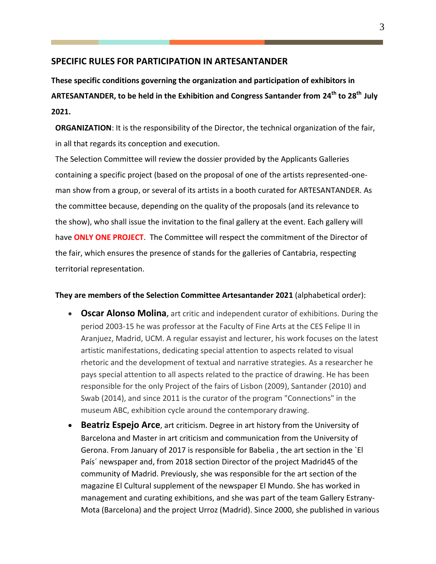#### **SPECIFIC RULES FOR PARTICIPATION IN ARTESANTANDER**

**These specific conditions governing the organization and participation of exhibitors in ARTESANTANDER, to be held in the Exhibition and Congress Santander from 24th to 28 th July 2021.**

**ORGANIZATION**: It is the responsibility of the Director, the technical organization of the fair, in all that regards its conception and execution.

The Selection Committee will review the dossier provided by the Applicants Galleries containing a specific project (based on the proposal of one of the artists represented-oneman show from a group, or several of its artists in a booth curated for ARTESANTANDER. As the committee because, depending on the quality of the proposals (and its relevance to the show), who shall issue the invitation to the final gallery at the event. Each gallery will have **ONLY ONE PROJECT**. The Committee will respect the commitment of the Director of the fair, which ensures the presence of stands for the galleries of Cantabria, respecting territorial representation.

#### **They are members of the Selection Committee Artesantander 2021** (alphabetical order):

- **Oscar Alonso Molina**, art critic and independent curator of exhibitions. During the period 2003-15 he was professor at the Faculty of Fine Arts at the CES Felipe II in Aranjuez, Madrid, UCM. A regular essayist and lecturer, his work focuses on the latest artistic manifestations, dedicating special attention to aspects related to visual rhetoric and the development of textual and narrative strategies. As a researcher he pays special attention to all aspects related to the practice of drawing. He has been responsible for the only Project of the fairs of Lisbon (2009), Santander (2010) and Swab (2014), and since 2011 is the curator of the program "Connections" in the museum ABC, exhibition cycle around the contemporary drawing.
- **Beatriz Espejo Arce**, art criticism. Degree in art history from the University of Barcelona and Master in art criticism and communication from the University of Gerona. From January of 2017 is responsible for Babelia , the art section in the `El País´ newspaper and, from 2018 section Director of the project Madrid45 of the community of Madrid. Previously, she was responsible for the art section of the magazine El Cultural supplement of the newspaper El Mundo. She has worked in management and curating exhibitions, and she was part of the team Gallery Estrany-Mota (Barcelona) and the project Urroz (Madrid). Since 2000, she published in various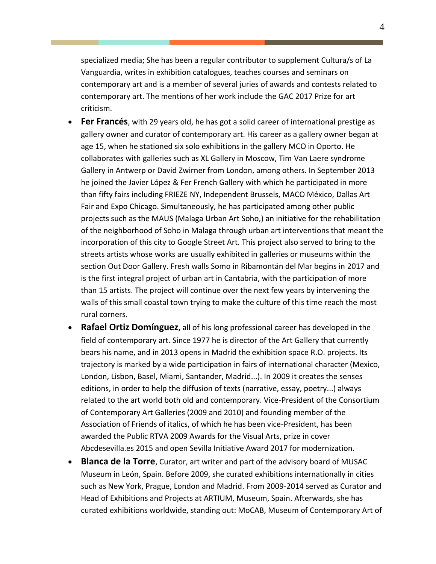specialized media; She has been a regular contributor to supplement Cultura/s of La Vanguardia, writes in exhibition catalogues, teaches courses and seminars on contemporary art and is a member of several juries of awards and contests related to contemporary art. The mentions of her work include the GAC 2017 Prize for art criticism.

- **Fer Francés**, with 29 years old, he has got a solid career of international prestige as gallery owner and curator of contemporary art. His career as a gallery owner began at age 15, when he stationed six solo exhibitions in the gallery MCO in Oporto. He collaborates with galleries such as XL Gallery in Moscow, Tim Van Laere syndrome Gallery in Antwerp or David Zwirner from London, among others. In September 2013 he joined the Javier López & Fer French Gallery with which he participated in more than fifty fairs including FRIEZE NY, Independent Brussels, MACO México, Dallas Art Fair and Expo Chicago. Simultaneously, he has participated among other public projects such as the MAUS (Malaga Urban Art Soho,) an initiative for the rehabilitation of the neighborhood of Soho in Malaga through urban art interventions that meant the incorporation of this city to Google Street Art. This project also served to bring to the streets artists whose works are usually exhibited in galleries or museums within the section Out Door Gallery. Fresh walls Somo in Ribamontán del Mar begins in 2017 and is the first integral project of urban art in Cantabria, with the participation of more than 15 artists. The project will continue over the next few years by intervening the walls of this small coastal town trying to make the culture of this time reach the most rural corners.
- **Rafael Ortiz Domínguez,** all of his long professional career has developed in the field of contemporary art. Since 1977 he is director of the Art Gallery that currently bears his name, and in 2013 opens in Madrid the exhibition space R.O. projects. Its trajectory is marked by a wide participation in fairs of international character (Mexico, London, Lisbon, Basel, Miami, Santander, Madrid...). In 2009 it creates the senses editions, in order to help the diffusion of texts (narrative, essay, poetry...) always related to the art world both old and contemporary. Vice-President of the Consortium of Contemporary Art Galleries (2009 and 2010) and founding member of the Association of Friends of italics, of which he has been vice-President, has been awarded the Public RTVA 2009 Awards for the Visual Arts, prize in cover Abcdesevilla.es 2015 and open Sevilla Initiative Award 2017 for modernization.
- **Blanca de la Torre**, Curator, art writer and part of the advisory board of MUSAC Museum in León, Spain. Before 2009, she curated exhibitions internationally in cities such as New York, Prague, London and Madrid. From 2009-2014 served as Curator and Head of Exhibitions and Projects at ARTIUM, Museum, Spain. Afterwards, she has curated exhibitions worldwide, standing out: MoCAB, Museum of Contemporary Art of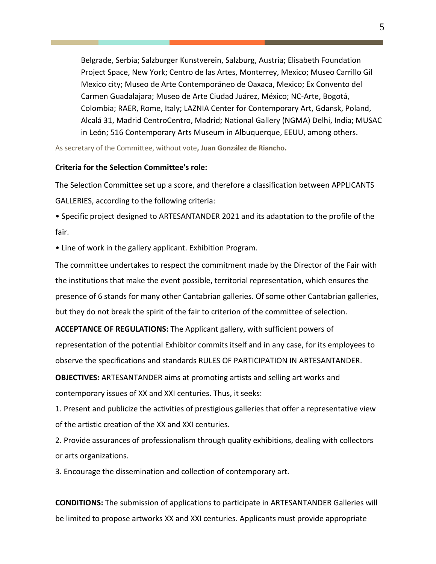Belgrade, Serbia; Salzburger Kunstverein, Salzburg, Austria; Elisabeth Foundation Project Space, New York; Centro de las Artes, Monterrey, Mexico; Museo Carrillo Gil Mexico city; Museo de Arte Contemporáneo de Oaxaca, Mexico; Ex Convento del Carmen Guadalajara; Museo de Arte Ciudad Juárez, México; NC-Arte, Bogotá, Colombia; RAER, Rome, Italy; LAZNIA Center for Contemporary Art, Gdansk, Poland, Alcalá 31, Madrid CentroCentro, Madrid; National Gallery (NGMA) Delhi, India; MUSAC in León; 516 Contemporary Arts Museum in Albuquerque, EEUU, among others.

As secretary of the Committee, without vote**, Juan González de Riancho.**

#### **Criteria for the Selection Committee's role:**

The Selection Committee set up a score, and therefore a classification between APPLICANTS GALLERIES, according to the following criteria:

• Specific project designed to ARTESANTANDER 2021 and its adaptation to the profile of the fair.

• Line of work in the gallery applicant. Exhibition Program.

The committee undertakes to respect the commitment made by the Director of the Fair with the institutions that make the event possible, territorial representation, which ensures the presence of 6 stands for many other Cantabrian galleries. Of some other Cantabrian galleries, but they do not break the spirit of the fair to criterion of the committee of selection.

**ACCEPTANCE OF REGULATIONS:** The Applicant gallery, with sufficient powers of representation of the potential Exhibitor commits itself and in any case, for its employees to observe the specifications and standards RULES OF PARTICIPATION IN ARTESANTANDER.

**OBJECTIVES:** ARTESANTANDER aims at promoting artists and selling art works and contemporary issues of XX and XXI centuries. Thus, it seeks:

1. Present and publicize the activities of prestigious galleries that offer a representative view of the artistic creation of the XX and XXI centuries.

2. Provide assurances of professionalism through quality exhibitions, dealing with collectors or arts organizations.

3. Encourage the dissemination and collection of contemporary art.

**CONDITIONS:** The submission of applications to participate in ARTESANTANDER Galleries will be limited to propose artworks XX and XXI centuries. Applicants must provide appropriate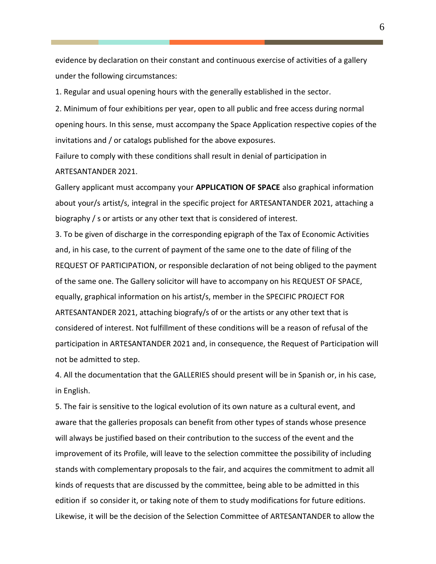evidence by declaration on their constant and continuous exercise of activities of a gallery under the following circumstances:

1. Regular and usual opening hours with the generally established in the sector.

2. Minimum of four exhibitions per year, open to all public and free access during normal opening hours. In this sense, must accompany the Space Application respective copies of the invitations and / or catalogs published for the above exposures.

Failure to comply with these conditions shall result in denial of participation in ARTESANTANDER 2021.

Gallery applicant must accompany your **APPLICATION OF SPACE** also graphical information about your/s artist/s, integral in the specific project for ARTESANTANDER 2021, attaching a biography / s or artists or any other text that is considered of interest.

3. To be given of discharge in the corresponding epigraph of the Tax of Economic Activities and, in his case, to the current of payment of the same one to the date of filing of the REQUEST OF PARTICIPATION, or responsible declaration of not being obliged to the payment of the same one. The Gallery solicitor will have to accompany on his REQUEST OF SPACE, equally, graphical information on his artist/s, member in the SPECIFIC PROJECT FOR ARTESANTANDER 2021, attaching biografy/s of or the artists or any other text that is considered of interest. Not fulfillment of these conditions will be a reason of refusal of the participation in ARTESANTANDER 2021 and, in consequence, the Request of Participation will not be admitted to step.

4. All the documentation that the GALLERIES should present will be in Spanish or, in his case, in English.

5. The fair is sensitive to the logical evolution of its own nature as a cultural event, and aware that the galleries proposals can benefit from other types of stands whose presence will always be justified based on their contribution to the success of the event and the improvement of its Profile, will leave to the selection committee the possibility of including stands with complementary proposals to the fair, and acquires the commitment to admit all kinds of requests that are discussed by the committee, being able to be admitted in this edition if so consider it, or taking note of them to study modifications for future editions. Likewise, it will be the decision of the Selection Committee of ARTESANTANDER to allow the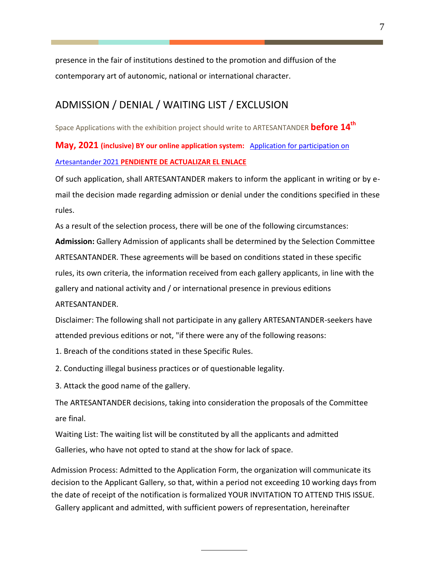presence in the fair of institutions destined to the promotion and diffusion of the contemporary art of autonomic, national or international character.

## ADMISSION / DENIAL / WAITING LIST / EXCLUSION

Space Applications with the exhibition project should write to ARTESANTANDER **before 14 th** 

**May, 2021 (inclusive) BY our online application system:** [Application for participation on](https://fairs.itgalleryapp.com/en_EN/ARTESANTANDER)  [Artesantander 2021](https://fairs.itgalleryapp.com/en_EN/ARTESANTANDER) **PENDIENTE DE ACTUALIZAR EL ENLACE**

Of such application, shall ARTESANTANDER makers to inform the applicant in writing or by email the decision made regarding admission or denial under the conditions specified in these rules.

As a result of the selection process, there will be one of the following circumstances:

**Admission:** Gallery Admission of applicants shall be determined by the Selection Committee ARTESANTANDER. These agreements will be based on conditions stated in these specific rules, its own criteria, the information received from each gallery applicants, in line with the gallery and national activity and / or international presence in previous editions

#### ARTESANTANDER.

Disclaimer: The following shall not participate in any gallery ARTESANTANDER-seekers have attended previous editions or not, "if there were any of the following reasons:

- 1. Breach of the conditions stated in these Specific Rules.
- 2. Conducting illegal business practices or of questionable legality.
- 3. Attack the good name of the gallery.

The ARTESANTANDER decisions, taking into consideration the proposals of the Committee are final.

Waiting List: The waiting list will be constituted by all the applicants and admitted Galleries, who have not opted to stand at the show for lack of space.

Admission Process: Admitted to the Application Form, the organization will communicate its decision to the Applicant Gallery, so that, within a period not exceeding 10 working days from the date of receipt of the notification is formalized YOUR INVITATION TO ATTEND THIS ISSUE. Gallery applicant and admitted, with sufficient powers of representation, hereinafter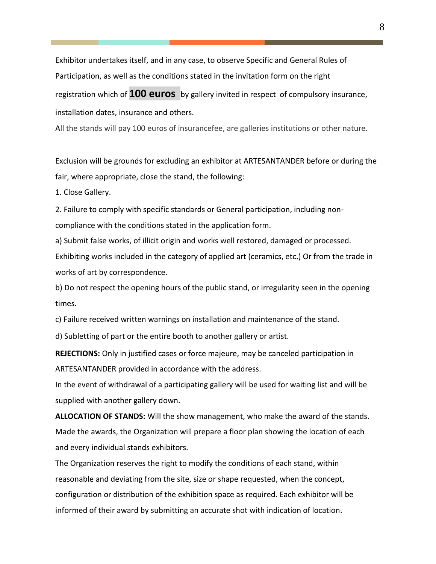Exhibitor undertakes itself, and in any case, to observe Specific and General Rules of Participation, as well as the conditions stated in the invitation form on the right registration which of **100 euros** by gallery invited in respect of compulsory insurance, installation dates, insurance and others.

All the stands will pay 100 euros of insurancefee, are galleries institutions or other nature.

Exclusion will be grounds for excluding an exhibitor at ARTESANTANDER before or during the fair, where appropriate, close the stand, the following:

1. Close Gallery.

2. Failure to comply with specific standards or General participation, including noncompliance with the conditions stated in the application form.

a) Submit false works, of illicit origin and works well restored, damaged or processed. Exhibiting works included in the category of applied art (ceramics, etc.) Or from the trade in works of art by correspondence.

b) Do not respect the opening hours of the public stand, or irregularity seen in the opening times.

c) Failure received written warnings on installation and maintenance of the stand.

d) Subletting of part or the entire booth to another gallery or artist.

**REJECTIONS:** Only in justified cases or force majeure, may be canceled participation in ARTESANTANDER provided in accordance with the address.

In the event of withdrawal of a participating gallery will be used for waiting list and will be supplied with another gallery down.

**ALLOCATION OF STANDS:** Will the show management, who make the award of the stands. Made the awards, the Organization will prepare a floor plan showing the location of each and every individual stands exhibitors.

The Organization reserves the right to modify the conditions of each stand, within reasonable and deviating from the site, size or shape requested, when the concept, configuration or distribution of the exhibition space as required. Each exhibitor will be informed of their award by submitting an accurate shot with indication of location.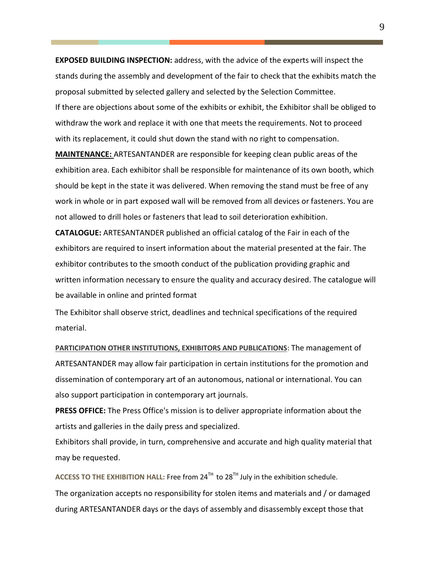**EXPOSED BUILDING INSPECTION:** address, with the advice of the experts will inspect the stands during the assembly and development of the fair to check that the exhibits match the proposal submitted by selected gallery and selected by the Selection Committee. If there are objections about some of the exhibits or exhibit, the Exhibitor shall be obliged to withdraw the work and replace it with one that meets the requirements. Not to proceed with its replacement, it could shut down the stand with no right to compensation.

**MAINTENANCE:** ARTESANTANDER are responsible for keeping clean public areas of the exhibition area. Each exhibitor shall be responsible for maintenance of its own booth, which should be kept in the state it was delivered. When removing the stand must be free of any work in whole or in part exposed wall will be removed from all devices or fasteners. You are not allowed to drill holes or fasteners that lead to soil deterioration exhibition.

**CATALOGUE:** ARTESANTANDER published an official catalog of the Fair in each of the exhibitors are required to insert information about the material presented at the fair. The exhibitor contributes to the smooth conduct of the publication providing graphic and written information necessary to ensure the quality and accuracy desired. The catalogue will be available in online and printed format

The Exhibitor shall observe strict, deadlines and technical specifications of the required material.

**PARTICIPATION OTHER INSTITUTIONS, EXHIBITORS AND PUBLICATIONS: The management of** ARTESANTANDER may allow fair participation in certain institutions for the promotion and dissemination of contemporary art of an autonomous, national or international. You can also support participation in contemporary art journals.

**PRESS OFFICE:** The Press Office's mission is to deliver appropriate information about the artists and galleries in the daily press and specialized.

Exhibitors shall provide, in turn, comprehensive and accurate and high quality material that may be requested.

ACCESS TO THE EXHIBITION HALL: Free from 24<sup>TH</sup> to 28<sup>TH</sup> July in the exhibition schedule. The organization accepts no responsibility for stolen items and materials and / or damaged during ARTESANTANDER days or the days of assembly and disassembly except those that